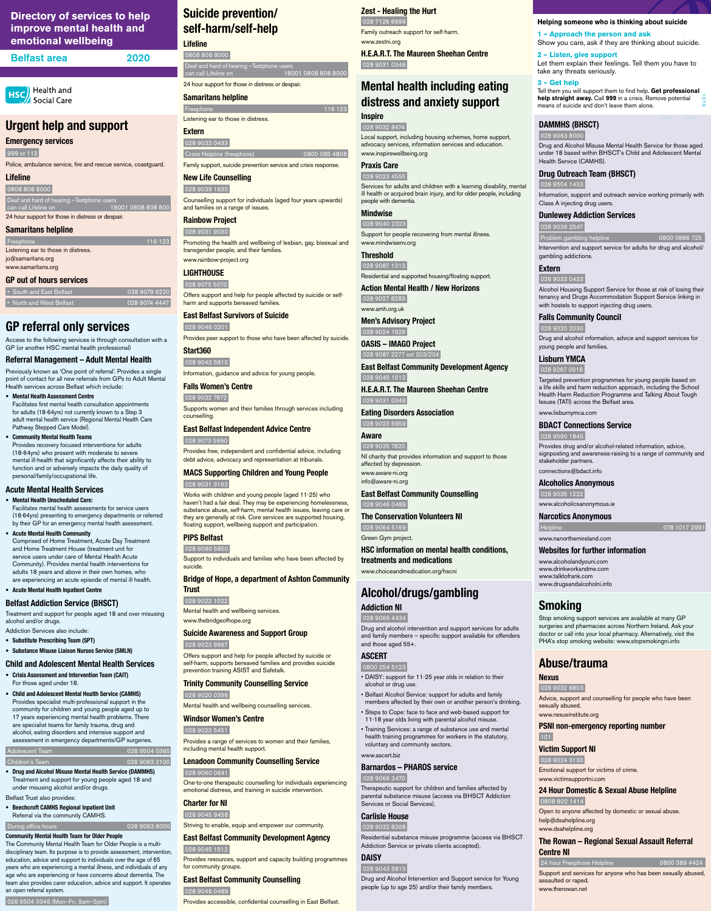# **Urgent help and support**

**Emergency services** 

999 or 112

 0808 808 8000 Deaf and hard of hearing -Textphone use ers<br>.<u>1800</u>1 0808 808 80

Police, ambulance service, fire and rescue service, coastguard.

### **Lifeline**

 • South and East Belfast 028 9079 6220 028 9074 4447

24 hour support for those in distress or despair.

### **Samaritans helpline**

Listening ear to those in distress. jo@samaritans.org www.samaritans.org

# **GP out of hours services**

# **GP referral only services**

Access to the following services is through consultation with a GP (or another HSC mental health professional)

### **Referral Management – Adult Mental Health**

Previously known as 'One point of referral'. Provides a single point of contact for all new referrals from GPs to Adult Mental Health services across Belfast which include:

- **• Mental Health Assessment Centre** Facilitates first mental health consultation appointments for adults (18-64yrs) not currently known to a Step 3 adult mental health service (Regional Mental Health Care Pathway Stepped Care Model).
- **• Community Mental Health Teams** Provides recovery focused interventions for adults (18-64yrs) who present with moderate to severe mental ill-health that significantly affects their ability to function and or adversely impacts the daily quality of personal/family/occupational life.

### **Acute Mental Health Services**

### **• Mental Health Unscheduled Care:**

Facilitates mental health assessments for service users (18-64yrs) presenting to emergency departments or referred by their GP for an emergency mental health assessment.

#### **• Acute Mental Health Community**

Comprised of Home Treatment, Acute Day Treatment and Home Treatment House (treatment unit for service users under care of Mental Health Acute Community). Provides mental health interventions for adults 18 years and above in their own homes, who are experiencing an acute episode of mental ill health.

Deaf and hard of hearing –Textphone users can call Lifeline on 18001 0808 808 8000 24 hour support for those in distress or despair.

116 123 Listening ear to those in distress.

**• Acute Mental Health Inpatient Centre**

### **Belfast Addiction Service (BHSCT)**

Treatment and support for people aged 18 and over misusing alcohol and/or drugs.

- Addiction Services also include: **• Substitute Prescribing Team (SPT)**
- **• Substance Misuse Liaison Nurses Service (SMLN)**

### **Child and Adolescent Mental Health Services**

- **• Crisis Assessment and Intervention Team (CAIT)**  For those aged under 18.
- **• Child and Adolescent Mental Health Service (CAMHS)**  Provides specialist multi-professional support in the community for children and young people aged up to 17 years experiencing mental health problems. There

are specialist teams for family trauma, drug and alcohol, eating disorders and intensive support and assessment in emergency departments/GP surgeries.

#### Adolescent Team 028 9504 0365

### **Children's Team 028 9063 2100**

**• Drug and Alcohol Misuse Mental Health Service (DAMMHS)**  Treatment and support for young people aged 18 and under misusing alcohol and/or drugs.

Belfast Trust also provides:

**• Beechcroft CAMHS Regional Inpatient Unit** Referral via the community CAMHS.

#### During office hours **028 9063 8000**

#### **Community Mental Health Team for Older People**

The Community Mental Health Team for Older People is a multidisciplinary team. Its purpose is to provide assessment, intervention, education, advice and support to individuals over the age of 65 years who are experiencing a mental illness, and individuals of any age who are experiencing or have concerns about dementia. The team also provides carer education, advice and support. It operates an open referral system.

Problem gambling helpline 0800 0886 725 Intervention and support service for adults for drug and alcohol/

### 028 9504 0346 (Mon–Fri, 9am–5pm)

# **Suicide prevention/ self-harm/self-help**

**Lifeline**  0808 808 8000

> **Lisburn YMCA** 028 9267 0918

# **Samaritans helpline**

**Extern**

028 9033 0433

Crisis Helpline (freephone) 0800 085 4808

### Family support, suicide prevention service and crisis response.

**New Life Counselling** 028 9039 1630

Counselling support for individuals (aged four years upwards) and families on a range of issues.

### **Rainbow Project**

 028 9031 9030 Promoting the health and wellbeing of lesbian, gay, bisexual and transgender people, and their families.

www.rainbow-project.org

**LIGHTHOUSE** 028 9075 5070

116 123

Offers support and help for people affected by suicide or selfharm and supports bereaved families.

### **East Belfast Survivors of Suicide** 028 9046 0201

Provides peer support to those who have been affected by suicide.

### **Start360**

 028 9043 5810 Information, guidance and advice for young people.

### **Falls Women's Centre**

028 9032 7672

Supports women and their families through services including counselling.

### **East Belfast Independent Advice Centre**

028 9073 5690

Provides free, independent and confidential advice, including debt advice, advocacy and representation at tribunals.

### **MACS Supporting Children and Young People** 028 9031 3163

Works with children and young people (aged 11-25) who haven't had a fair deal. They may be experiencing homelessness, substance abuse, self-harm, mental health issues, leaving care or they are generally at risk. Core services are supported housing, floating support, wellbeing support and participation.

### **PIPS Belfast**

028 9080 5850

Support to individuals and families who have been affected by suicide.

### **Bridge of Hope, a department of Ashton Community Trust**

 028 9022 1022 Mental health and wellbeing services.

www.thebridgeofhope.org

### **Suicide Awareness and Support Group** 028 9023 9967

Offers support and help for people affected by suicide or self-harm, supports bereaved families and provides suicide prevention training ASIST and Safetalk.

### **Trinity Community Counselling Service** 028 9020 0396

Mental health and wellbeing counselling services.

#### **Windsor Women's Centre**

028 9023 5451

Provides a range of services to women and their families, including mental health support.

### **Lenadoon Community Counselling Service** 028 9060 0641

One-to-one therapeutic counselling for individuals experiencing emotional distress, and training in suicide intervention.

### **Charter for NI**

### 028 9045 9458

Striving to enable, equip and empower our community.

### **East Belfast Community Development Agency** 028 9045 1512

Provides resources, support and capacity building programmes for community groups.

### **East Belfast Community Counselling** 028 9046 0489

Provides accessible, confidential counselling in East Belfast.

# **Directory of services to help improve mental health and emotional wellbeing**

| <b>Belfast area</b><br>2020 |
|-----------------------------|
|                             |

**HSC** Health and Social Care

> **DAMMHS (BHSCT)** 028 9063 8000

Drug and Alcohol Misuse Mental Health Service for those aged under 18 based within BHSCT's Child and Adolescent Mental

Health Service (CAMHS).

**Drug Outreach Team (BHSCT)**

028 9504 1433

Information, support and outreach service working primarily with

Class A injecting drug users.

**Dunlewey Addiction Services**

028 9039 2547

gambling addictions.

**Extern** 028 9033 0433

Alcohol Housing Support Service for those at risk of losing their tenancy and Drugs Accommodation Support Service linking in

with hostels to support injecting drug users.

**Falls Community Council**

028 9020 2030

Drug and alcohol information, advice and support services for

young people and families.

Targeted prevention programmes for young people based on a life skills and harm reduction approach, including the School Health Harm Reduction Programme and Talking About Tough

Issues (TATI) across the Belfast area.

www.lisburnymca.com

**BDACT Connections Service**

028 9590 1845

Provides drug and/or alcohol-related information, advice, signposting and awareness-raising to a range of community and

stakeholder partners. connections@bdact.info **Alcoholics Anonymous**

028 9035 1222

www.alcoholicsanonymous.ie **Narcotics Anonymous**

Helpline 078 1017 2991

www.nanorthernireland.com

**Websites for further information**

www.alcoholandyouni.com www.drinkworkandme.com www.talktofrank.com www.drugsandalcoholni.info

**Smoking**

Stop smoking support services are available at many GP surgeries and pharmacies across Northern Ireland. Ask your doctor or call into your local pharmacy. Alternatively, visit the PHA's stop smoking website: www.stopsmokingni.info

**Abuse/trauma**

**Nexus** 

028 9032 6803

Advice, support and counselling for people who have been

sexually abused. www.nexusinstitute.org

### **PSNI non-emergency reporting number** 101

### **Victim Support NI**

#### 028 9024 3133

Emotional support for victims of crime. www.victimsupportni.com

### **24 Hour Domestic & Sexual Abuse Helpline**

### 0808 802 1414

Open to anyone affected by domestic or sexual abuse. help@dsahelpline.org www.dsahelpline.org **The Rowan – Regional Sexual Assault Referral** 

# **Centre NI**

24 hour Freephone Helpline 0800 389 4424

Support and services for anyone who has been sexually abused, assaulted or raped. www.therowan.net

### **Zest - Healing the Hurt**

 028 7126 6999 Family outreach support for self-harm. www.zestni.org **H.E.A.R.T. The Maureen Sheehan Centre**

028 9031 0346

# **Mental health including eating distress and anxiety support Inspire**

# 028 9032 8474

Local support, including housing schemes, home support, advocacy services, information services and education. www.inspirewellbeing.org

### **Praxis Care**

 028 9023 4555 Services for adults and children with a learning disability, mental ill health or acquired brain injury, and for older people, including people with dementia.

### **Mindwise**

 028 9040 2323 Support for people recovering from mental illness. www.mindwisenv.org

**Threshold** 

028 9087 1313

Residential and supported housing/floating support. **Action Mental Health / New Horizons**

 028 9027 8283 www.amh.org.uk

**Men's Advisory Project** 028 9024 1929

**OASIS – IMAGO Project** 028 9087 2277 ext 203/204

**East Belfast Community Development Agency** 028 9045 1512

**H.E.A.R.T. The Maureen Sheehan Centre**

 028 9031 0346 **Eating Disorders Association**

028 9023 5959

### **Aware**

 028 9035 7820 NI charity that provides information and support to those affected by depression. www.aware-ni.org info@aware-ni.org

**East Belfast Community Counselling**

028 9046 0489

**The Conservation Volunteers NI**  028 9064 5169

Green Gym project.

**HSC information on mental health conditions, treatments and medications** 

www.choiceandmedication.org/hscni

# **Alcohol/drugs/gambling**

**Addiction NI** 028 9066 4434

Drug and alcohol intervention and support services for adults and family members – specific support available for offenders

and those aged 55+.

**ASCERT** 0800 254 5123

• DAISY: support for 11-25 year olds in relation to their

alcohol or drug use.

• Belfast Alcohol Service: support for adults and family members affected by their own or another person's drinking. • Steps to Cope: face to face and web-based support for

11-18 year olds living with parental alcohol misuse.

• Training Services: a range of substance use and mental health training programmes for workers in the statutory, voluntary and community sectors.

www.ascert.biz

### **Barnardos – PHAROS service**

### 028 9066 3470

Therapeutic support for children and families affected by parental substance misuse (access via BHSCT Addiction Services or Social Services).

### **Carlisle House**

### 028 9032 8308

Residential substance misuse programme (access via BHSCT Addiction Service or private clients accepted).

# **DAISY**

### 028 9043 5815

Drug and Alcohol Intervention and Support service for Young people (up to age 25) and/or their family members.

**Helping someone who is thinking about suicide**

**1 – Approach the person and ask**

Show you care, ask if they are thinking about suicide.

**2 – Listen, give support**

Let them explain their feelings. Tell them you have to

take any threats seriously.

**3 – Get help**

Tell them you will support them to find help. **Get professional help straight away.** Call **999** in a crisis. Remove potential

means of suicide and don't leave them alone.

12/19